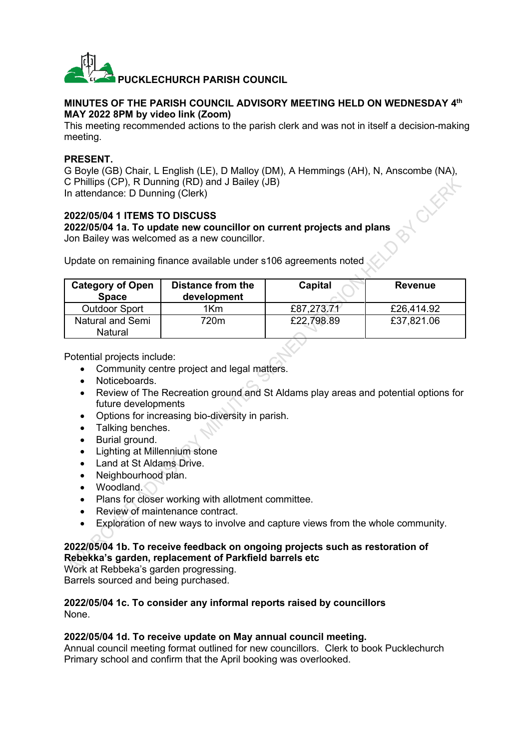

# **MINUTES OF THE PARISH COUNCIL ADVISORY MEETING HELD ON WEDNESDAY 4 th MAY 2022 8PM by video link (Zoom)**

This meeting recommended actions to the parish clerk and was not in itself a decision-making meeting.

# **PRESENT.**

G Boyle (GB) Chair, L English (LE), D Malloy (DM), A Hemmings (AH), N, Anscombe (NA), C Phillips (CP), R Dunning (RD) and J Bailey (JB) In attendance: D Dunning (Clerk)

### **2022/05/04 1 ITEMS TO DISCUSS 2022/05/04 1a. To update new councillor on current projects and plans** Jon Bailey was welcomed as a new councillor.

Update on remaining finance available under s106 agreements noted

| <b>Category of Open</b><br><b>Space</b> | <b>Distance from the</b><br>development | Capital    | Revenue    |
|-----------------------------------------|-----------------------------------------|------------|------------|
| <b>Outdoor Sport</b>                    | 1Km                                     | £87,273.71 | £26.414.92 |
| Natural and Semi<br>Natural             | 720m                                    | £22,798.89 | £37,821.06 |

Potential projects include:

- Community centre project and legal matters.
- Noticeboards.
- Review of The Recreation ground and St Aldams play areas and potential options for future developments
- Options for increasing bio-diversity in parish.
- Talking benches.
- Burial ground.
- Lighting at Millennium stone
- Land at St Aldams Drive.
- Neighbourhood plan.
- Woodland.
- Plans for closer working with allotment committee.
- Review of maintenance contract.
- Exploration of new ways to involve and capture views from the whole community.

### **2022/05/04 1b. To receive feedback on ongoing projects such as restoration of Rebekka's garden, replacement of Parkfield barrels etc**

Work at Rebbeka's garden progressing. Barrels sourced and being purchased.

#### **2022/05/04 1c. To consider any informal reports raised by councillors** None.

# **2022/05/04 1d. To receive update on May annual council meeting.**

Annual council meeting format outlined for new councillors. Clerk to book Pucklechurch Primary school and confirm that the April booking was overlooked.